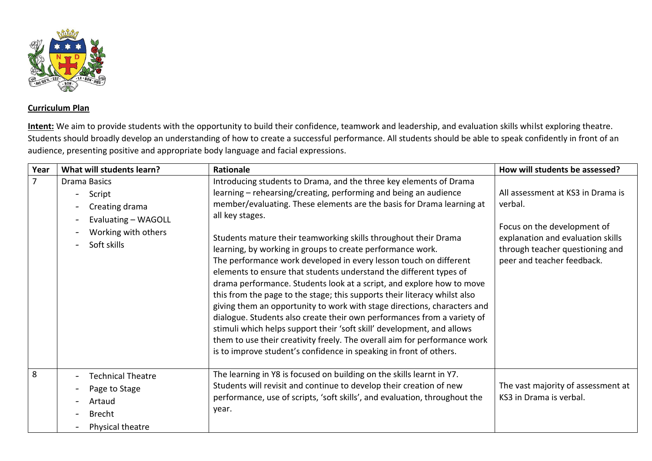

## **Curriculum Plan**

**Intent:** We aim to provide students with the opportunity to build their confidence, teamwork and leadership, and evaluation skills whilst exploring theatre. Students should broadly develop an understanding of how to create a successful performance. All students should be able to speak confidently in front of an audience, presenting positive and appropriate body language and facial expressions.

| Year           | What will students learn?                                                                             | Rationale                                                                                                                                                                                                                                                                                                                                                                                                                                                                                                                                                                                                                                                                                                                                                                                                                                                                                                                                                                                                                                                | How will students be assessed?                                                                                                                                                    |
|----------------|-------------------------------------------------------------------------------------------------------|----------------------------------------------------------------------------------------------------------------------------------------------------------------------------------------------------------------------------------------------------------------------------------------------------------------------------------------------------------------------------------------------------------------------------------------------------------------------------------------------------------------------------------------------------------------------------------------------------------------------------------------------------------------------------------------------------------------------------------------------------------------------------------------------------------------------------------------------------------------------------------------------------------------------------------------------------------------------------------------------------------------------------------------------------------|-----------------------------------------------------------------------------------------------------------------------------------------------------------------------------------|
| $\overline{7}$ | Drama Basics<br>Script<br>Creating drama<br>Evaluating - WAGOLL<br>Working with others<br>Soft skills | Introducing students to Drama, and the three key elements of Drama<br>learning – rehearsing/creating, performing and being an audience<br>member/evaluating. These elements are the basis for Drama learning at<br>all key stages.<br>Students mature their teamworking skills throughout their Drama<br>learning, by working in groups to create performance work.<br>The performance work developed in every lesson touch on different<br>elements to ensure that students understand the different types of<br>drama performance. Students look at a script, and explore how to move<br>this from the page to the stage; this supports their literacy whilst also<br>giving them an opportunity to work with stage directions, characters and<br>dialogue. Students also create their own performances from a variety of<br>stimuli which helps support their 'soft skill' development, and allows<br>them to use their creativity freely. The overall aim for performance work<br>is to improve student's confidence in speaking in front of others. | All assessment at KS3 in Drama is<br>verbal.<br>Focus on the development of<br>explanation and evaluation skills<br>through teacher questioning and<br>peer and teacher feedback. |
| 8              | <b>Technical Theatre</b><br>Page to Stage<br>Artaud<br><b>Brecht</b><br>Physical theatre              | The learning in Y8 is focused on building on the skills learnt in Y7.<br>Students will revisit and continue to develop their creation of new<br>performance, use of scripts, 'soft skills', and evaluation, throughout the<br>year.                                                                                                                                                                                                                                                                                                                                                                                                                                                                                                                                                                                                                                                                                                                                                                                                                      | The vast majority of assessment at<br>KS3 in Drama is verbal.                                                                                                                     |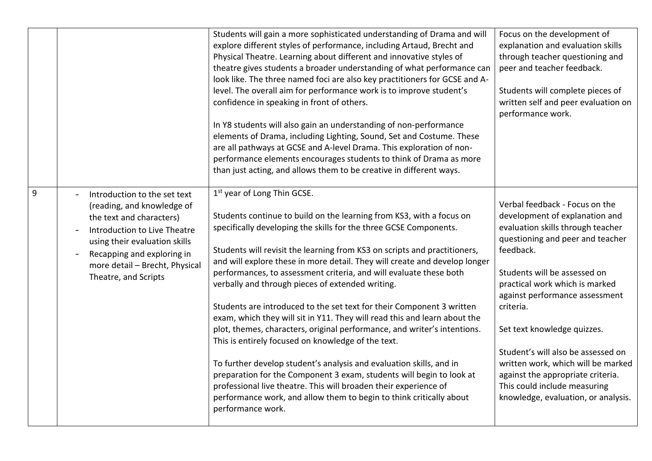|   |                                | Students will gain a more sophisticated understanding of Drama and will    | Focus on the development of         |
|---|--------------------------------|----------------------------------------------------------------------------|-------------------------------------|
|   |                                | explore different styles of performance, including Artaud, Brecht and      | explanation and evaluation skills   |
|   |                                | Physical Theatre. Learning about different and innovative styles of        | through teacher questioning and     |
|   |                                | theatre gives students a broader understanding of what performance can     | peer and teacher feedback.          |
|   |                                | look like. The three named foci are also key practitioners for GCSE and A- |                                     |
|   |                                | level. The overall aim for performance work is to improve student's        | Students will complete pieces of    |
|   |                                | confidence in speaking in front of others.                                 | written self and peer evaluation on |
|   |                                |                                                                            | performance work.                   |
|   |                                | In Y8 students will also gain an understanding of non-performance          |                                     |
|   |                                | elements of Drama, including Lighting, Sound, Set and Costume. These       |                                     |
|   |                                | are all pathways at GCSE and A-level Drama. This exploration of non-       |                                     |
|   |                                | performance elements encourages students to think of Drama as more         |                                     |
|   |                                | than just acting, and allows them to be creative in different ways.        |                                     |
|   |                                |                                                                            |                                     |
| 9 | Introduction to the set text   | 1 <sup>st</sup> year of Long Thin GCSE.                                    |                                     |
|   | (reading, and knowledge of     |                                                                            | Verbal feedback - Focus on the      |
|   | the text and characters)       | Students continue to build on the learning from KS3, with a focus on       | development of explanation and      |
|   |                                | specifically developing the skills for the three GCSE Components.          | evaluation skills through teacher   |
|   | Introduction to Live Theatre   |                                                                            | questioning and peer and teacher    |
|   | using their evaluation skills  | Students will revisit the learning from KS3 on scripts and practitioners,  | feedback.                           |
|   | Recapping and exploring in     |                                                                            |                                     |
|   | more detail - Brecht, Physical | and will explore these in more detail. They will create and develop longer |                                     |
|   | Theatre, and Scripts           | performances, to assessment criteria, and will evaluate these both         | Students will be assessed on        |
|   |                                | verbally and through pieces of extended writing.                           | practical work which is marked      |
|   |                                |                                                                            | against performance assessment      |
|   |                                | Students are introduced to the set text for their Component 3 written      | criteria.                           |
|   |                                | exam, which they will sit in Y11. They will read this and learn about the  |                                     |
|   |                                | plot, themes, characters, original performance, and writer's intentions.   | Set text knowledge quizzes.         |
|   |                                | This is entirely focused on knowledge of the text.                         |                                     |
|   |                                |                                                                            | Student's will also be assessed on  |
|   |                                | To further develop student's analysis and evaluation skills, and in        | written work, which will be marked  |
|   |                                | preparation for the Component 3 exam, students will begin to look at       | against the appropriate criteria.   |
|   |                                | professional live theatre. This will broaden their experience of           | This could include measuring        |
|   |                                | performance work, and allow them to begin to think critically about        | knowledge, evaluation, or analysis. |
|   |                                | performance work.                                                          |                                     |
|   |                                |                                                                            |                                     |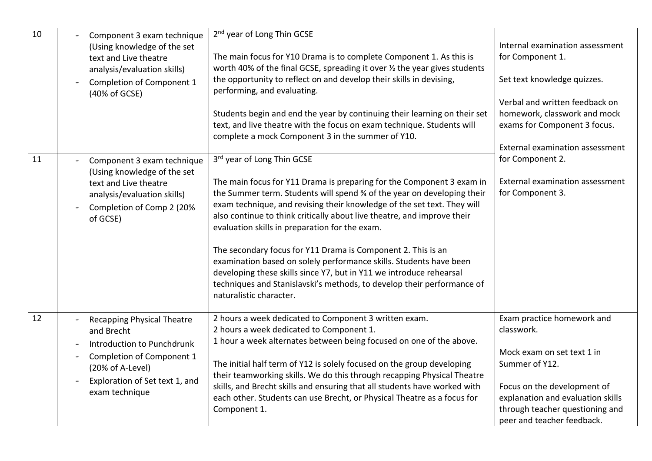| 10 | Component 3 exam technique<br>(Using knowledge of the set<br>text and Live theatre<br>analysis/evaluation skills)<br>Completion of Component 1<br>(40% of GCSE)                    | 2 <sup>nd</sup> year of Long Thin GCSE<br>The main focus for Y10 Drama is to complete Component 1. As this is<br>worth 40% of the final GCSE, spreading it over 1/2 the year gives students<br>the opportunity to reflect on and develop their skills in devising,<br>performing, and evaluating.<br>Students begin and end the year by continuing their learning on their set<br>text, and live theatre with the focus on exam technique. Students will<br>complete a mock Component 3 in the summer of Y10.                                                                                                                                                                                           | Internal examination assessment<br>for Component 1.<br>Set text knowledge quizzes.<br>Verbal and written feedback on<br>homework, classwork and mock<br>exams for Component 3 focus.<br>External examination assessment       |
|----|------------------------------------------------------------------------------------------------------------------------------------------------------------------------------------|---------------------------------------------------------------------------------------------------------------------------------------------------------------------------------------------------------------------------------------------------------------------------------------------------------------------------------------------------------------------------------------------------------------------------------------------------------------------------------------------------------------------------------------------------------------------------------------------------------------------------------------------------------------------------------------------------------|-------------------------------------------------------------------------------------------------------------------------------------------------------------------------------------------------------------------------------|
| 11 | Component 3 exam technique<br>(Using knowledge of the set<br>text and Live theatre<br>analysis/evaluation skills)<br>Completion of Comp 2 (20%<br>of GCSE)                         | 3rd year of Long Thin GCSE<br>The main focus for Y11 Drama is preparing for the Component 3 exam in<br>the Summer term. Students will spend % of the year on developing their<br>exam technique, and revising their knowledge of the set text. They will<br>also continue to think critically about live theatre, and improve their<br>evaluation skills in preparation for the exam.<br>The secondary focus for Y11 Drama is Component 2. This is an<br>examination based on solely performance skills. Students have been<br>developing these skills since Y7, but in Y11 we introduce rehearsal<br>techniques and Stanislavski's methods, to develop their performance of<br>naturalistic character. | for Component 2.<br>External examination assessment<br>for Component 3.                                                                                                                                                       |
| 12 | <b>Recapping Physical Theatre</b><br>and Brecht<br>Introduction to Punchdrunk<br>Completion of Component 1<br>(20% of A-Level)<br>Exploration of Set text 1, and<br>exam technique | 2 hours a week dedicated to Component 3 written exam.<br>2 hours a week dedicated to Component 1.<br>1 hour a week alternates between being focused on one of the above.<br>The initial half term of Y12 is solely focused on the group developing<br>their teamworking skills. We do this through recapping Physical Theatre<br>skills, and Brecht skills and ensuring that all students have worked with<br>each other. Students can use Brecht, or Physical Theatre as a focus for<br>Component 1.                                                                                                                                                                                                   | Exam practice homework and<br>classwork.<br>Mock exam on set text 1 in<br>Summer of Y12.<br>Focus on the development of<br>explanation and evaluation skills<br>through teacher questioning and<br>peer and teacher feedback. |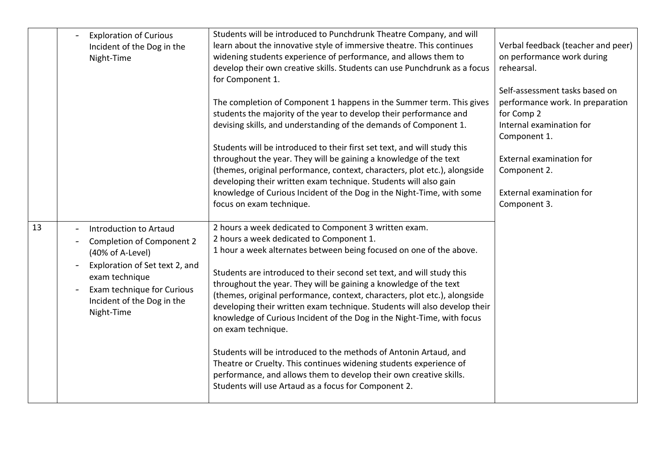|    | <b>Exploration of Curious</b><br>Incident of the Dog in the<br>Night-Time                                                                                                                                                                | Students will be introduced to Punchdrunk Theatre Company, and will<br>learn about the innovative style of immersive theatre. This continues<br>widening students experience of performance, and allows them to<br>develop their own creative skills. Students can use Punchdrunk as a focus<br>for Component 1.                                                                                                                                                                                                                                                                                                                                                                                                                                                                                                                                          | Verbal feedback (teacher and peer)<br>on performance work during<br>rehearsal.<br>Self-assessment tasks based on |
|----|------------------------------------------------------------------------------------------------------------------------------------------------------------------------------------------------------------------------------------------|-----------------------------------------------------------------------------------------------------------------------------------------------------------------------------------------------------------------------------------------------------------------------------------------------------------------------------------------------------------------------------------------------------------------------------------------------------------------------------------------------------------------------------------------------------------------------------------------------------------------------------------------------------------------------------------------------------------------------------------------------------------------------------------------------------------------------------------------------------------|------------------------------------------------------------------------------------------------------------------|
|    |                                                                                                                                                                                                                                          | The completion of Component 1 happens in the Summer term. This gives<br>students the majority of the year to develop their performance and<br>devising skills, and understanding of the demands of Component 1.                                                                                                                                                                                                                                                                                                                                                                                                                                                                                                                                                                                                                                           | performance work. In preparation<br>for Comp 2<br>Internal examination for<br>Component 1.                       |
|    |                                                                                                                                                                                                                                          | Students will be introduced to their first set text, and will study this<br>throughout the year. They will be gaining a knowledge of the text<br>(themes, original performance, context, characters, plot etc.), alongside<br>developing their written exam technique. Students will also gain<br>knowledge of Curious Incident of the Dog in the Night-Time, with some<br>focus on exam technique.                                                                                                                                                                                                                                                                                                                                                                                                                                                       | External examination for<br>Component 2.<br><b>External examination for</b><br>Component 3.                      |
| 13 | Introduction to Artaud<br><b>Completion of Component 2</b><br>$\overline{\phantom{a}}$<br>(40% of A-Level)<br>Exploration of Set text 2, and<br>exam technique<br>Exam technique for Curious<br>Incident of the Dog in the<br>Night-Time | 2 hours a week dedicated to Component 3 written exam.<br>2 hours a week dedicated to Component 1.<br>1 hour a week alternates between being focused on one of the above.<br>Students are introduced to their second set text, and will study this<br>throughout the year. They will be gaining a knowledge of the text<br>(themes, original performance, context, characters, plot etc.), alongside<br>developing their written exam technique. Students will also develop their<br>knowledge of Curious Incident of the Dog in the Night-Time, with focus<br>on exam technique.<br>Students will be introduced to the methods of Antonin Artaud, and<br>Theatre or Cruelty. This continues widening students experience of<br>performance, and allows them to develop their own creative skills.<br>Students will use Artaud as a focus for Component 2. |                                                                                                                  |